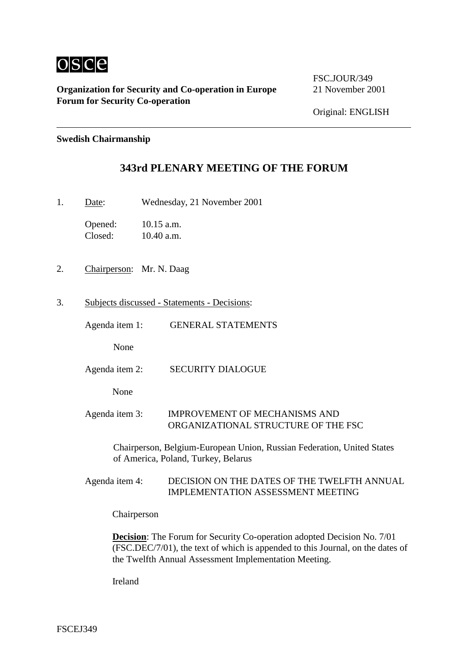

**Organization for Security and Co-operation in Europe 21 November 2001 Forum for Security Co-operation**

FSC.JOUR/349

Original: ENGLISH

## **Swedish Chairmanship**

## **343rd PLENARY MEETING OF THE FORUM**

1. Date: Wednesday, 21 November 2001

Opened: 10.15 a.m. Closed: 10.40 a.m.

- 2. Chairperson: Mr. N. Daag
- 3. Subjects discussed Statements Decisions:

Agenda item 1: GENERAL STATEMENTS

None

Agenda item 2: SECURITY DIALOGUE

None

Agenda item 3: IMPROVEMENT OF MECHANISMS AND ORGANIZATIONAL STRUCTURE OF THE FSC

Chairperson, Belgium-European Union, Russian Federation, United States of America, Poland, Turkey, Belarus

Agenda item 4: DECISION ON THE DATES OF THE TWELFTH ANNUAL IMPLEMENTATION ASSESSMENT MEETING

Chairperson

**Decision**: The Forum for Security Co-operation adopted Decision No. 7/01 (FSC.DEC/7/01), the text of which is appended to this Journal, on the dates of the Twelfth Annual Assessment Implementation Meeting.

Ireland